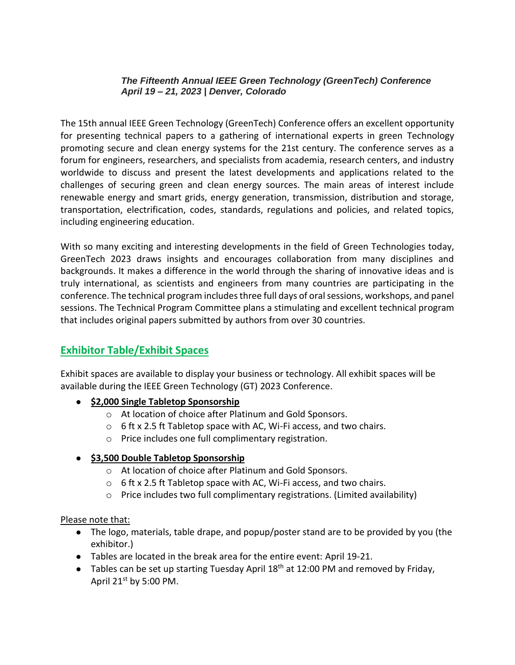#### *The Fifteenth Annual IEEE Green Technology (GreenTech) Conference April 19 – 21, 2023 | Denver, Colorado*

The 15th annual IEEE Green Technology (GreenTech) Conference offers an excellent opportunity for presenting technical papers to a gathering of international experts in green Technology promoting secure and clean energy systems for the 21st century. The conference serves as a forum for engineers, researchers, and specialists from academia, research centers, and industry worldwide to discuss and present the latest developments and applications related to the challenges of securing green and clean energy sources. The main areas of interest include renewable energy and smart grids, energy generation, transmission, distribution and storage, transportation, electrification, codes, standards, regulations and policies, and related topics, including engineering education.

With so many exciting and interesting developments in the field of Green Technologies today, GreenTech 2023 draws insights and encourages collaboration from many disciplines and backgrounds. It makes a difference in the world through the sharing of innovative ideas and is truly international, as scientists and engineers from many countries are participating in the conference. The technical program includes three full days of oral sessions, workshops, and panel sessions. The Technical Program Committee plans a stimulating and excellent technical program that includes original papers submitted by authors from over 30 countries.

# **Exhibitor Table/Exhibit Spaces**

Exhibit spaces are available to display your business or technology. All exhibit spaces will be available during the IEEE Green Technology (GT) 2023 Conference.

- **\$2,000 Single Tabletop Sponsorship**
	- o At location of choice after Platinum and Gold Sponsors.
	- $\circ$  6 ft x 2.5 ft Tabletop space with AC, Wi-Fi access, and two chairs.
	- o Price includes one full complimentary registration.

## ● **\$3,500 Double Tabletop Sponsorship**

- o At location of choice after Platinum and Gold Sponsors.
- $\circ$  6 ft x 2.5 ft Tabletop space with AC, Wi-Fi access, and two chairs.
- o Price includes two full complimentary registrations. (Limited availability)

## Please note that:

- The logo, materials, table drape, and popup/poster stand are to be provided by you (the exhibitor.)
- Tables are located in the break area for the entire event: April 19-21.
- Tables can be set up starting Tuesday April  $18<sup>th</sup>$  at 12:00 PM and removed by Friday, April  $21^{st}$  by 5:00 PM.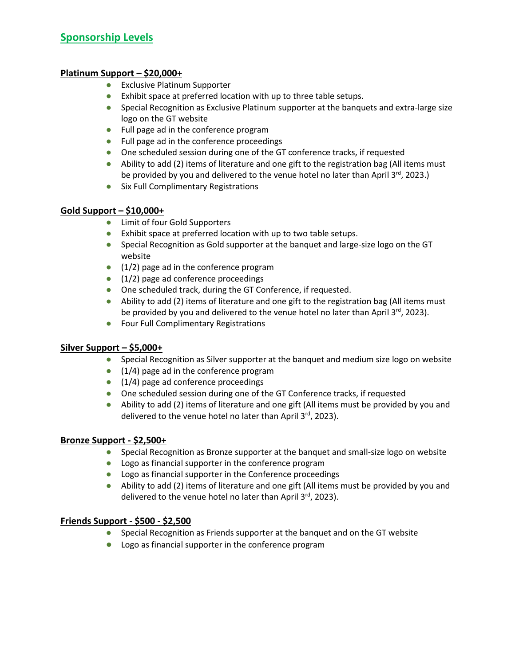#### **Platinum Support – \$20,000+**

- Exclusive Platinum Supporter
- Exhibit space at preferred location with up to three table setups.
- Special Recognition as Exclusive Platinum supporter at the banquets and extra-large size logo on the GT website
- Full page ad in the conference program
- Full page ad in the conference proceedings
- One scheduled session during one of the GT conference tracks, if requested
- Ability to add (2) items of literature and one gift to the registration bag (All items must be provided by you and delivered to the venue hotel no later than April 3<sup>rd</sup>, 2023.)
- Six Full Complimentary Registrations

#### **Gold Support – \$10,000+**

- Limit of four Gold Supporters
- Exhibit space at preferred location with up to two table setups.
- Special Recognition as Gold supporter at the banquet and large-size logo on the GT website
- $\bullet$  (1/2) page ad in the conference program
- $\bullet$  (1/2) page ad conference proceedings
- One scheduled track, during the GT Conference, if requested.
- Ability to add (2) items of literature and one gift to the registration bag (All items must be provided by you and delivered to the venue hotel no later than April 3<sup>rd</sup>, 2023).
- Four Full Complimentary Registrations

#### **Silver Support – \$5,000+**

- Special Recognition as Silver supporter at the banquet and medium size logo on website
- $\bullet$  (1/4) page ad in the conference program
- (1/4) page ad conference proceedings
- One scheduled session during one of the GT Conference tracks, if requested
- Ability to add (2) items of literature and one gift (All items must be provided by you and delivered to the venue hotel no later than April 3<sup>rd</sup>, 2023).

## **Bronze Support - \$2,500+**

- Special Recognition as Bronze supporter at the banquet and small-size logo on website
- Logo as financial supporter in the conference program
- Logo as financial supporter in the Conference proceedings
- Ability to add (2) items of literature and one gift (All items must be provided by you and delivered to the venue hotel no later than April  $3^{rd}$ , 2023).

## **Friends Support - \$500 - \$2,500**

- Special Recognition as Friends supporter at the banquet and on the GT website
- Logo as financial supporter in the conference program